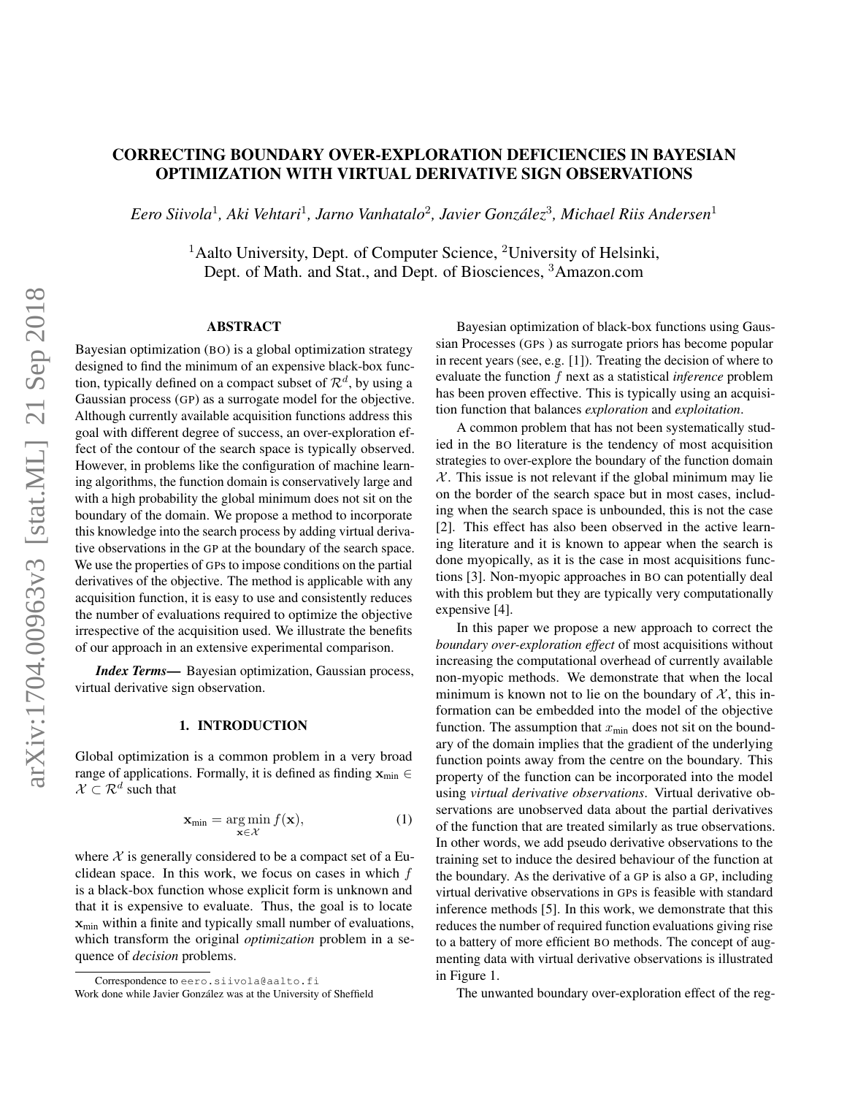# CORRECTING BOUNDARY OVER-EXPLORATION DEFICIENCIES IN BAYESIAN OPTIMIZATION WITH VIRTUAL DERIVATIVE SIGN OBSERVATIONS

*Eero Siivola*<sup>1</sup> *, Aki Vehtari*<sup>1</sup> *, Jarno Vanhatalo*<sup>2</sup> *, Javier Gonzalez ´* 3 *, Michael Riis Andersen*<sup>1</sup>

<sup>1</sup>Aalto University, Dept. of Computer Science, <sup>2</sup>University of Helsinki, Dept. of Math. and Stat., and Dept. of Biosciences, <sup>3</sup>Amazon.com

# ABSTRACT

Bayesian optimization (BO) is a global optimization strategy designed to find the minimum of an expensive black-box function, typically defined on a compact subset of  $\mathcal{R}^d$ , by using a Gaussian process (GP) as a surrogate model for the objective. Although currently available acquisition functions address this goal with different degree of success, an over-exploration effect of the contour of the search space is typically observed. However, in problems like the configuration of machine learning algorithms, the function domain is conservatively large and with a high probability the global minimum does not sit on the boundary of the domain. We propose a method to incorporate this knowledge into the search process by adding virtual derivative observations in the GP at the boundary of the search space. We use the properties of GPs to impose conditions on the partial derivatives of the objective. The method is applicable with any acquisition function, it is easy to use and consistently reduces the number of evaluations required to optimize the objective irrespective of the acquisition used. We illustrate the benefits of our approach in an extensive experimental comparison.

*Index Terms*— Bayesian optimization, Gaussian process, virtual derivative sign observation.

#### 1. INTRODUCTION

Global optimization is a common problem in a very broad range of applications. Formally, it is defined as finding  $\mathbf{x}_{\text{min}} \in$  $\mathcal{X} \subset \mathcal{R}^d$  such that

$$
\mathbf{x}_{\min} = \underset{\mathbf{x} \in \mathcal{X}}{\arg \min} f(\mathbf{x}),\tag{1}
$$

where  $X$  is generally considered to be a compact set of a Euclidean space. In this work, we focus on cases in which  $f$ is a black-box function whose explicit form is unknown and that it is expensive to evaluate. Thus, the goal is to locate  $\mathbf{x}_{min}$  within a finite and typically small number of evaluations, which transform the original *optimization* problem in a sequence of *decision* problems.

Correspondence to eero.siivola@aalto.fi

Bayesian optimization of black-box functions using Gaussian Processes (GPs ) as surrogate priors has become popular in recent years (see, e.g. [1]). Treating the decision of where to evaluate the function f next as a statistical *inference* problem has been proven effective. This is typically using an acquisition function that balances *exploration* and *exploitation*.

A common problem that has not been systematically studied in the BO literature is the tendency of most acquisition strategies to over-explore the boundary of the function domain  $X$ . This issue is not relevant if the global minimum may lie on the border of the search space but in most cases, including when the search space is unbounded, this is not the case [2]. This effect has also been observed in the active learning literature and it is known to appear when the search is done myopically, as it is the case in most acquisitions functions [3]. Non-myopic approaches in BO can potentially deal with this problem but they are typically very computationally expensive [4].

In this paper we propose a new approach to correct the *boundary over-exploration effect* of most acquisitions without increasing the computational overhead of currently available non-myopic methods. We demonstrate that when the local minimum is known not to lie on the boundary of  $\mathcal{X}$ , this information can be embedded into the model of the objective function. The assumption that  $x_{\text{min}}$  does not sit on the boundary of the domain implies that the gradient of the underlying function points away from the centre on the boundary. This property of the function can be incorporated into the model using *virtual derivative observations*. Virtual derivative observations are unobserved data about the partial derivatives of the function that are treated similarly as true observations. In other words, we add pseudo derivative observations to the training set to induce the desired behaviour of the function at the boundary. As the derivative of a GP is also a GP, including virtual derivative observations in GPs is feasible with standard inference methods [5]. In this work, we demonstrate that this reduces the number of required function evaluations giving rise to a battery of more efficient BO methods. The concept of augmenting data with virtual derivative observations is illustrated in Figure 1.

The unwanted boundary over-exploration effect of the reg-

Work done while Javier González was at the University of Sheffield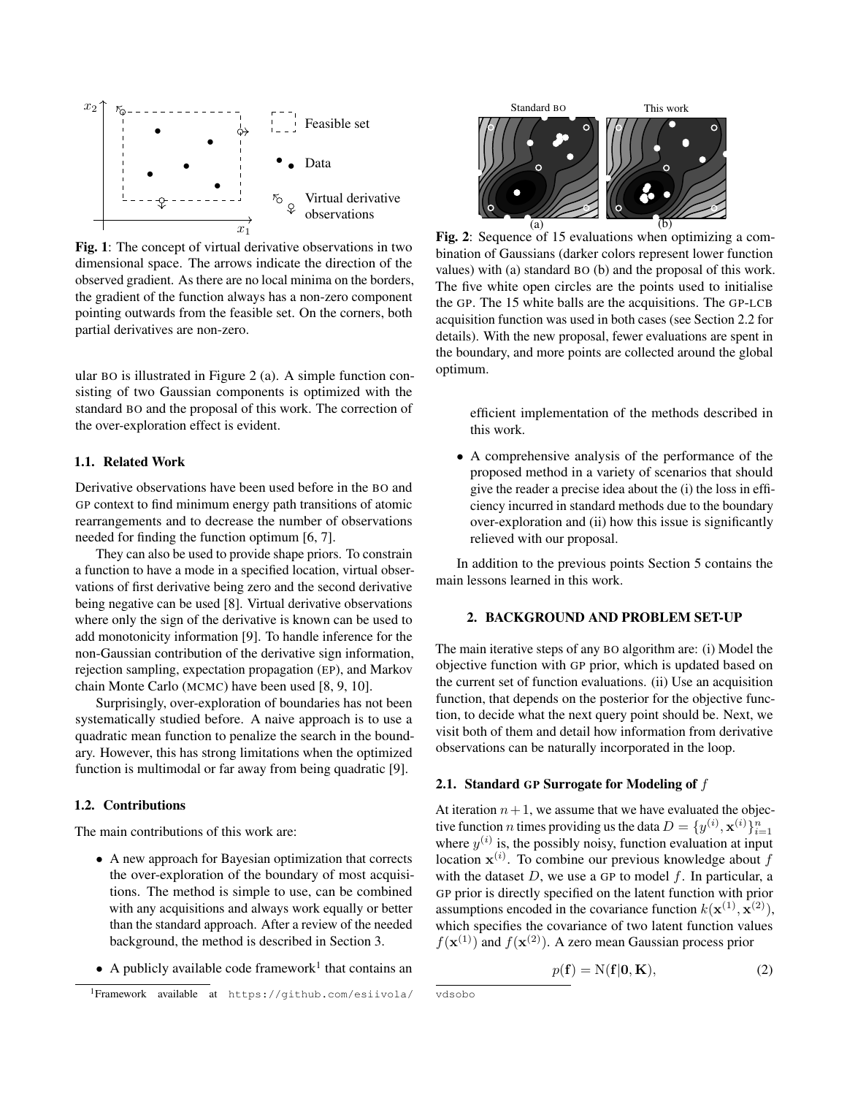

Fig. 1: The concept of virtual derivative observations in two dimensional space. The arrows indicate the direction of the observed gradient. As there are no local minima on the borders, the gradient of the function always has a non-zero component pointing outwards from the feasible set. On the corners, both partial derivatives are non-zero.

ular BO is illustrated in Figure 2 (a). A simple function consisting of two Gaussian components is optimized with the standard BO and the proposal of this work. The correction of the over-exploration effect is evident.

# 1.1. Related Work

Derivative observations have been used before in the BO and GP context to find minimum energy path transitions of atomic rearrangements and to decrease the number of observations needed for finding the function optimum [6, 7].

They can also be used to provide shape priors. To constrain a function to have a mode in a specified location, virtual observations of first derivative being zero and the second derivative being negative can be used [8]. Virtual derivative observations where only the sign of the derivative is known can be used to add monotonicity information [9]. To handle inference for the non-Gaussian contribution of the derivative sign information, rejection sampling, expectation propagation (EP), and Markov chain Monte Carlo (MCMC) have been used [8, 9, 10].

Surprisingly, over-exploration of boundaries has not been systematically studied before. A naive approach is to use a quadratic mean function to penalize the search in the boundary. However, this has strong limitations when the optimized function is multimodal or far away from being quadratic [9].

### 1.2. Contributions

The main contributions of this work are:

- A new approach for Bayesian optimization that corrects the over-exploration of the boundary of most acquisitions. The method is simple to use, can be combined with any acquisitions and always work equally or better than the standard approach. After a review of the needed background, the method is described in Section 3.
- A publicly available code framework<sup>1</sup> that contains an



Fig. 2: Sequence of 15 evaluations when optimizing a combination of Gaussians (darker colors represent lower function values) with (a) standard BO (b) and the proposal of this work. The five white open circles are the points used to initialise the GP. The 15 white balls are the acquisitions. The GP-LCB acquisition function was used in both cases (see Section 2.2 for details). With the new proposal, fewer evaluations are spent in the boundary, and more points are collected around the global optimum.

efficient implementation of the methods described in this work.

• A comprehensive analysis of the performance of the proposed method in a variety of scenarios that should give the reader a precise idea about the (i) the loss in efficiency incurred in standard methods due to the boundary over-exploration and (ii) how this issue is significantly relieved with our proposal.

In addition to the previous points Section 5 contains the main lessons learned in this work.

# 2. BACKGROUND AND PROBLEM SET-UP

The main iterative steps of any BO algorithm are: (i) Model the objective function with GP prior, which is updated based on the current set of function evaluations. (ii) Use an acquisition function, that depends on the posterior for the objective function, to decide what the next query point should be. Next, we visit both of them and detail how information from derivative observations can be naturally incorporated in the loop.

#### 2.1. Standard GP Surrogate for Modeling of  $f$

At iteration  $n+1$ , we assume that we have evaluated the objective function *n* times providing us the data  $D = \{y^{(i)}, \mathbf{x}^{(i)}\}_{i=1}^n$ where  $y^{(i)}$  is, the possibly noisy, function evaluation at input location  $\mathbf{x}^{(i)}$ . To combine our previous knowledge about f with the dataset  $D$ , we use a GP to model  $f$ . In particular, a GP prior is directly specified on the latent function with prior assumptions encoded in the covariance function  $k(\mathbf{x}^{(1)}, \mathbf{x}^{(2)}),$ which specifies the covariance of two latent function values  $f(\mathbf{x}^{(1)})$  and  $f(\mathbf{x}^{(2)})$ . A zero mean Gaussian process prior

$$
p(\mathbf{f}) = N(\mathbf{f}|\mathbf{0}, \mathbf{K}),\tag{2}
$$

<sup>1</sup>Framework available at https://github.com/esiivola/

vdsobo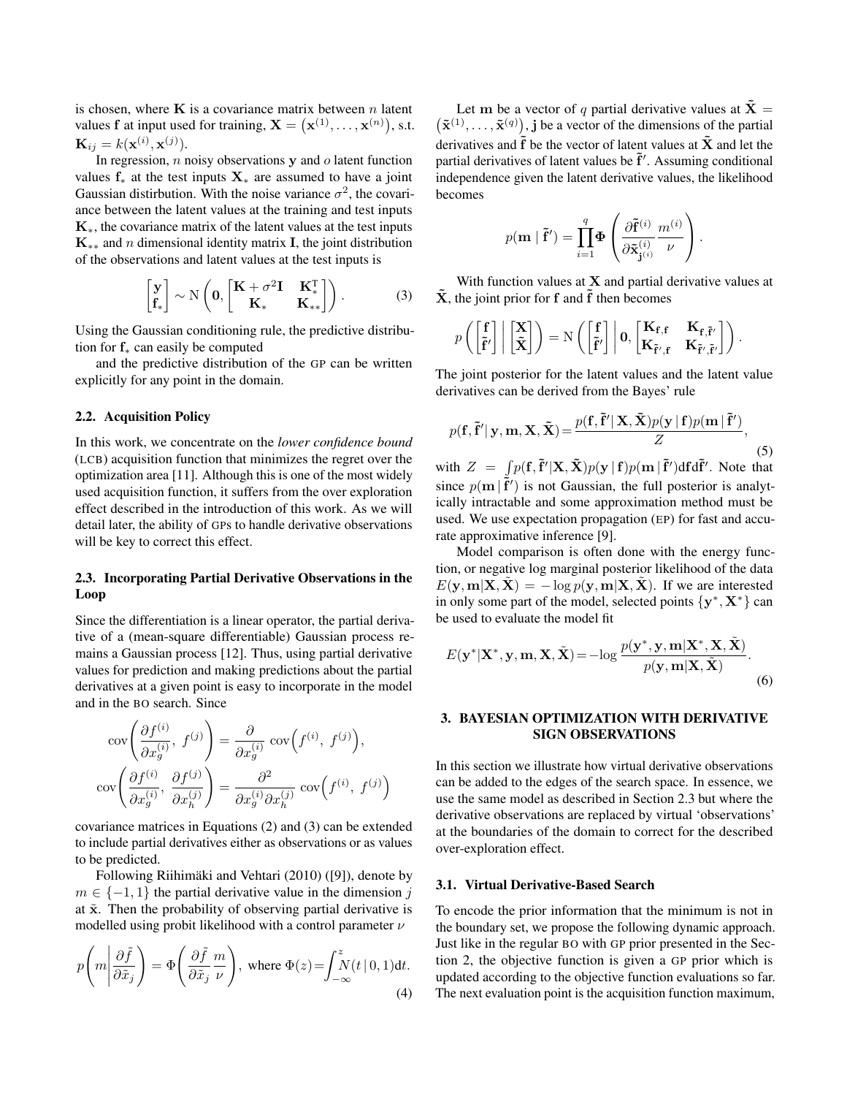is chosen, where  $\bf{K}$  is a covariance matrix between n latent values f at input used for training,  $X = (x^{(1)}, \dots, x^{(n)})$ , s.t.  $\mathbf{K}_{ij} = k(\mathbf{x}^{(i)}, \mathbf{x}^{(j)}).$ 

In regression,  $n$  noisy observations  $y$  and  $o$  latent function values  $f_*$  at the test inputs  $X_*$  are assumed to have a joint Gaussian distirbution. With the noise variance  $\sigma^2$ , the covariance between the latent values at the training and test inputs  $K<sub>*</sub>$ , the covariance matrix of the latent values at the test inputs  $\mathbf{K}_{**}$  and n dimensional identity matrix **I**, the joint distribution of the observations and latent values at the test inputs is

$$
\begin{bmatrix} \mathbf{y} \\ \mathbf{f}_* \end{bmatrix} \sim N \left( \mathbf{0}, \begin{bmatrix} \mathbf{K} + \sigma^2 \mathbf{I} & \mathbf{K}_*^T \\ \mathbf{K}_* & \mathbf{K}_{**} \end{bmatrix} \right). \tag{3}
$$

Using the Gaussian conditioning rule, the predictive distribution for  $f_*$  can easily be computed

and the predictive distribution of the GP can be written explicitly for any point in the domain.

# 2.2. Acquisition Policy

In this work, we concentrate on the *lower confidence bound* (LCB) acquisition function that minimizes the regret over the optimization area [11]. Although this is one of the most widely used acquisition function, it suffers from the over exploration effect described in the introduction of this work. As we will detail later, the ability of GPs to handle derivative observations will be key to correct this effect.

# 2.3. Incorporating Partial Derivative Observations in the Loop

Since the differentiation is a linear operator, the partial derivative of a (mean-square differentiable) Gaussian process remains a Gaussian process [12]. Thus, using partial derivative values for prediction and making predictions about the partial derivatives at a given point is easy to incorporate in the model and in the BO search. Since

$$
\begin{aligned}\n\text{cov}\left(\frac{\partial f^{(i)}}{\partial x_g^{(i)}},\ f^{(j)}\right) &= \frac{\partial}{\partial x_g^{(i)}} \text{cov}\left(f^{(i)},\ f^{(j)}\right), \\
\text{cov}\left(\frac{\partial f^{(i)}}{\partial x_g^{(i)}},\ \frac{\partial f^{(j)}}{\partial x_h^{(j)}}\right) &= \frac{\partial^2}{\partial x_g^{(i)} \partial x_h^{(j)}} \text{cov}\left(f^{(i)},\ f^{(j)}\right)\n\end{aligned}
$$

covariance matrices in Equations (2) and (3) can be extended to include partial derivatives either as observations or as values to be predicted.

Following Riihimäki and Vehtari (2010) ([9]), denote by  $m \in \{-1, 1\}$  the partial derivative value in the dimension j at  $\tilde{x}$ . Then the probability of observing partial derivative is modelled using probit likelihood with a control parameter  $\nu$ 

$$
p\left(m\left|\frac{\partial \tilde{f}}{\partial \tilde{x}_j}\right.\right) = \Phi\left(\frac{\partial \tilde{f}}{\partial \tilde{x}_j}\frac{m}{\nu}\right), \text{ where } \Phi(z) = \int_{-\infty}^{z} N(t \mid 0, 1) \, \mathrm{d}t. \tag{4}
$$

Let m be a vector of q partial derivative values at  $\tilde{\mathbf{X}} =$  $(\tilde{\mathbf{x}}^{(1)}, \dots, \tilde{\mathbf{x}}^{(q)})$ , j be a vector of the dimensions of the partial derivatives and  $\tilde{f}$  be the vector of latent values at  $\tilde{X}$  and let the partial derivatives of latent values be  $\tilde{f}'$ . Assuming conditional independence given the latent derivative values, the likelihood becomes

$$
p(\mathbf{m} \mid \tilde{\mathbf{f}}') = \prod_{i=1}^{q} \mathbf{\Phi} \left( \frac{\partial \tilde{\mathbf{f}}^{(i)}}{\partial \tilde{\mathbf{x}}_{\mathbf{j}^{(i)}}^{(i)}} \frac{m^{(i)}}{\nu} \right).
$$

With function values at  $X$  and partial derivative values at  $\tilde{\mathbf{X}}$ , the joint prior for f and  $\tilde{\mathbf{f}}$  then becomes

$$
p\left(\begin{bmatrix} \mathbf{f} \\ \tilde{\mathbf{f}}' \end{bmatrix} \middle| \begin{bmatrix} \mathbf{X} \\ \tilde{\mathbf{X}} \end{bmatrix}\right) = N\left(\begin{bmatrix} \mathbf{f} \\ \tilde{\mathbf{f}}' \end{bmatrix} \middle| \mathbf{0}, \begin{bmatrix} \mathbf{K}_{\mathbf{f}, \mathbf{f}} & \mathbf{K}_{\mathbf{f}, \tilde{\mathbf{f}}'} \\ \mathbf{K}_{\tilde{\mathbf{f}}', \mathbf{f}} & \mathbf{K}_{\tilde{\mathbf{f}}', \tilde{\mathbf{f}}'} \end{bmatrix}\right).
$$

The joint posterior for the latent values and the latent value derivatives can be derived from the Bayes' rule

$$
p(\mathbf{f}, \tilde{\mathbf{f}}' | \mathbf{y}, \mathbf{m}, \mathbf{X}, \tilde{\mathbf{X}}) = \frac{p(\mathbf{f}, \tilde{\mathbf{f}}' | \mathbf{X}, \tilde{\mathbf{X}}) p(\mathbf{y} | \mathbf{f}) p(\mathbf{m} | \tilde{\mathbf{f}}')}{Z},
$$
(5)

with  $Z = \int p(\mathbf{f}, \tilde{\mathbf{f}}' | \mathbf{X}, \tilde{\mathbf{X}}) p(\mathbf{y} | \mathbf{f}) p(\mathbf{m} | \tilde{\mathbf{f}}') d\mathbf{f} d\tilde{\mathbf{f}}'$ . Note that since  $p(\mathbf{m} | \tilde{\mathbf{f}}')$  is not Gaussian, the full posterior is analytically intractable and some approximation method must be used. We use expectation propagation (EP) for fast and accurate approximative inference [9].

Model comparison is often done with the energy function, or negative log marginal posterior likelihood of the data  $E(\mathbf{y}, \mathbf{m} | \mathbf{X}, \mathbf{X}) = -\log p(\mathbf{y}, \mathbf{m} | \mathbf{X}, \mathbf{X})$ . If we are interested in only some part of the model, selected points  $\{y^*, X^*\}$  can be used to evaluate the model fit

$$
E(\mathbf{y}^*|\mathbf{X}^*, \mathbf{y}, \mathbf{m}, \mathbf{X}, \tilde{\mathbf{X}}) = -\log \frac{p(\mathbf{y}^*, \mathbf{y}, \mathbf{m}|\mathbf{X}^*, \mathbf{X}, \tilde{\mathbf{X}})}{p(\mathbf{y}, \mathbf{m}|\mathbf{X}, \tilde{\mathbf{X}})}.
$$
(6)

# 3. BAYESIAN OPTIMIZATION WITH DERIVATIVE SIGN OBSERVATIONS

In this section we illustrate how virtual derivative observations can be added to the edges of the search space. In essence, we use the same model as described in Section 2.3 but where the derivative observations are replaced by virtual 'observations' at the boundaries of the domain to correct for the described over-exploration effect.

#### 3.1. Virtual Derivative-Based Search

To encode the prior information that the minimum is not in the boundary set, we propose the following dynamic approach. Just like in the regular BO with GP prior presented in the Section 2, the objective function is given a GP prior which is updated according to the objective function evaluations so far. The next evaluation point is the acquisition function maximum,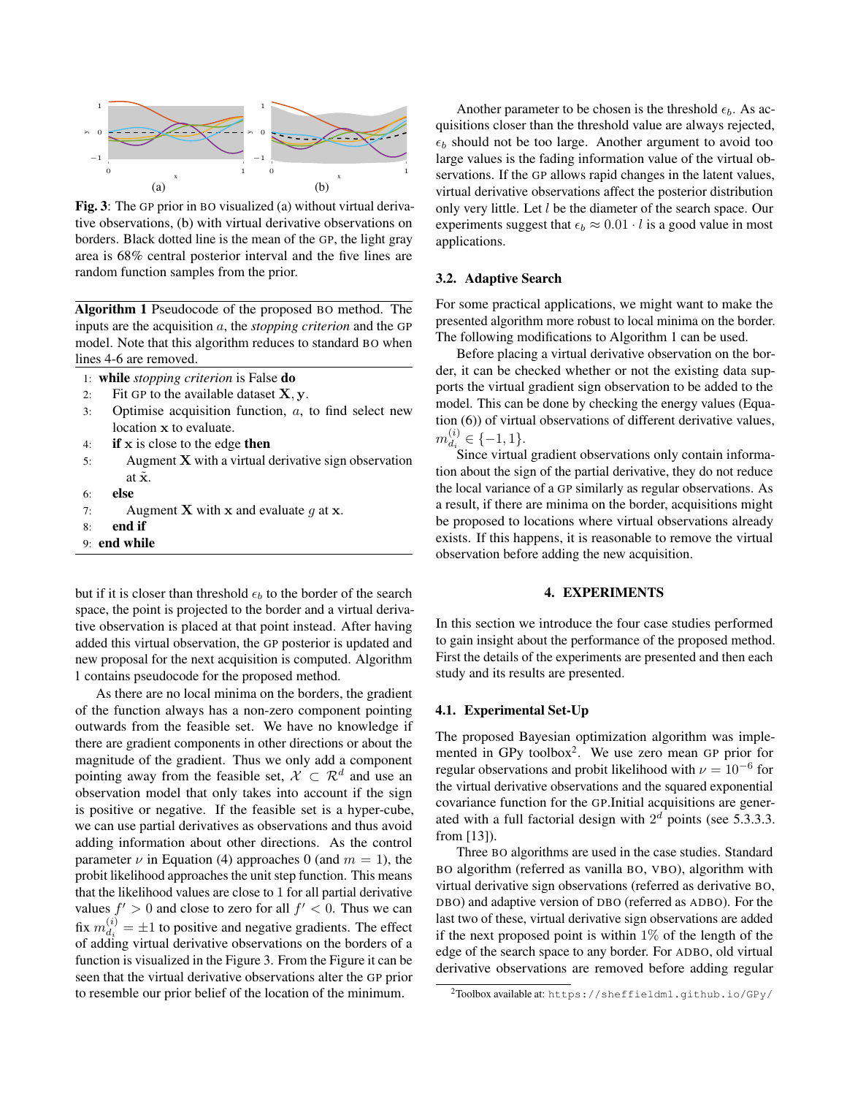

Fig. 3: The GP prior in BO visualized (a) without virtual derivative observations, (b) with virtual derivative observations on borders. Black dotted line is the mean of the GP, the light gray area is 68% central posterior interval and the five lines are random function samples from the prior.

Algorithm 1 Pseudocode of the proposed BO method. The inputs are the acquisition a, the *stopping criterion* and the GP model. Note that this algorithm reduces to standard BO when lines 4-6 are removed.

|    | 1: while <i>stopping criterion</i> is False <b>do</b> |
|----|-------------------------------------------------------|
| 2: | Fit GP to the available dataset $X, y$ .              |
| 3: | Optimise acquisition function, $a$ , to               |

- find select new location x to evaluate.
- 4: if  $x$  is close to the edge then
- 5: Augment X with a virtual derivative sign observation at  $\tilde{\mathbf{x}}$ .
- 6: else
- 7: Augment **X** with **x** and evaluate  $g$  at **x**.
- 8: end if
- 9: end while

but if it is closer than threshold  $\epsilon_b$  to the border of the search space, the point is projected to the border and a virtual derivative observation is placed at that point instead. After having added this virtual observation, the GP posterior is updated and new proposal for the next acquisition is computed. Algorithm 1 contains pseudocode for the proposed method.

As there are no local minima on the borders, the gradient of the function always has a non-zero component pointing outwards from the feasible set. We have no knowledge if there are gradient components in other directions or about the magnitude of the gradient. Thus we only add a component pointing away from the feasible set,  $X \subset \mathbb{R}^d$  and use an observation model that only takes into account if the sign is positive or negative. If the feasible set is a hyper-cube, we can use partial derivatives as observations and thus avoid adding information about other directions. As the control parameter  $\nu$  in Equation (4) approaches 0 (and  $m = 1$ ), the probit likelihood approaches the unit step function. This means that the likelihood values are close to 1 for all partial derivative values  $f' > 0$  and close to zero for all  $f' < 0$ . Thus we can fix  $m_{d_i}^{(i)}$  $\frac{d_i}{dt_i} = \pm 1$  to positive and negative gradients. The effect of adding virtual derivative observations on the borders of a function is visualized in the Figure 3. From the Figure it can be seen that the virtual derivative observations alter the GP prior to resemble our prior belief of the location of the minimum.

Another parameter to be chosen is the threshold  $\epsilon_b$ . As acquisitions closer than the threshold value are always rejected,  $\epsilon_b$  should not be too large. Another argument to avoid too large values is the fading information value of the virtual observations. If the GP allows rapid changes in the latent values, virtual derivative observations affect the posterior distribution only very little. Let l be the diameter of the search space. Our experiments suggest that  $\epsilon_b \approx 0.01 \cdot l$  is a good value in most applications.

### 3.2. Adaptive Search

For some practical applications, we might want to make the presented algorithm more robust to local minima on the border. The following modifications to Algorithm 1 can be used.

Before placing a virtual derivative observation on the border, it can be checked whether or not the existing data supports the virtual gradient sign observation to be added to the model. This can be done by checking the energy values (Equation (6)) of virtual observations of different derivative values,  $m_{d_{\hat{c}}}^{(i)}$  $\mathcal{L}_{d_i}^{(i)} \in \{-1,1\}.$ 

Since virtual gradient observations only contain information about the sign of the partial derivative, they do not reduce the local variance of a GP similarly as regular observations. As a result, if there are minima on the border, acquisitions might be proposed to locations where virtual observations already exists. If this happens, it is reasonable to remove the virtual observation before adding the new acquisition.

## 4. EXPERIMENTS

In this section we introduce the four case studies performed to gain insight about the performance of the proposed method. First the details of the experiments are presented and then each study and its results are presented.

#### 4.1. Experimental Set-Up

The proposed Bayesian optimization algorithm was implemented in GPy toolbox<sup>2</sup>. We use zero mean GP prior for regular observations and probit likelihood with  $\nu = 10^{-6}$  for the virtual derivative observations and the squared exponential covariance function for the GP.Initial acquisitions are generated with a full factorial design with  $2<sup>d</sup>$  points (see 5.3.3.3. from [13]).

Three BO algorithms are used in the case studies. Standard BO algorithm (referred as vanilla BO, VBO), algorithm with virtual derivative sign observations (referred as derivative BO, DBO) and adaptive version of DBO (referred as ADBO). For the last two of these, virtual derivative sign observations are added if the next proposed point is within  $1\%$  of the length of the edge of the search space to any border. For ADBO, old virtual derivative observations are removed before adding regular

<sup>2</sup>Toolbox available at: https://sheffieldml.github.io/GPy/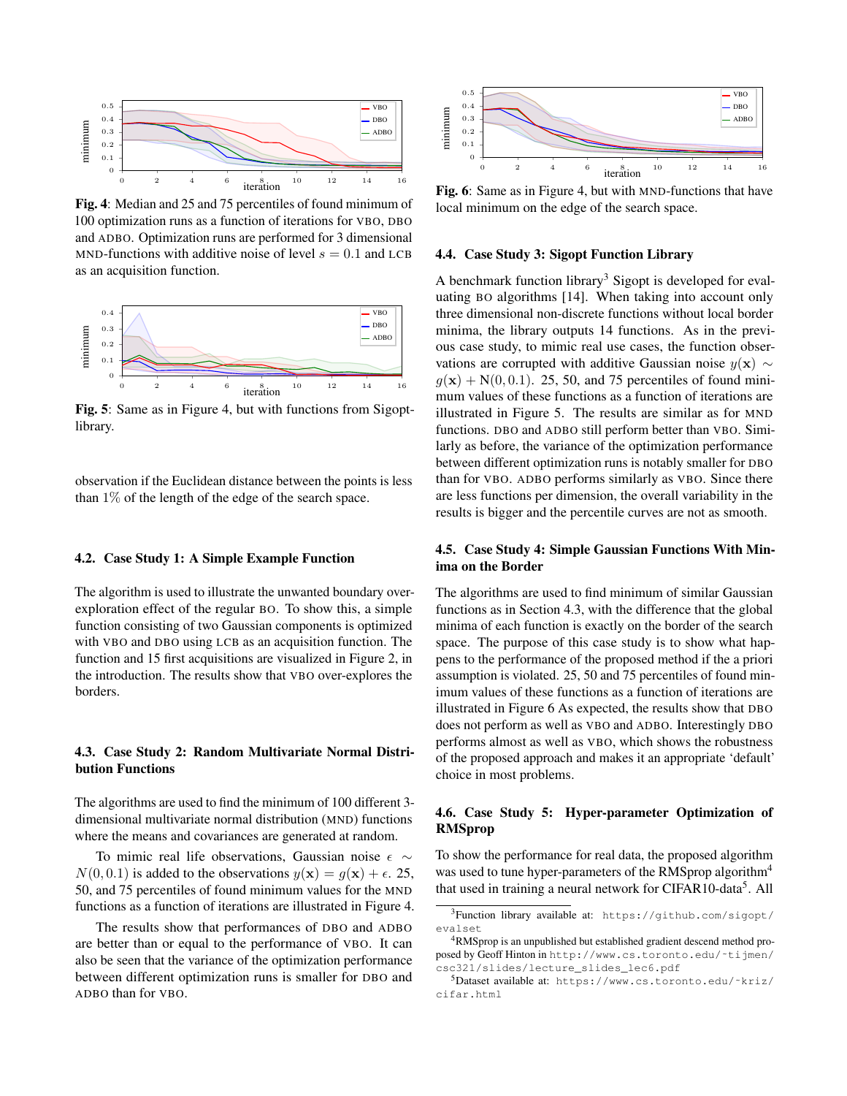

Fig. 4: Median and 25 and 75 percentiles of found minimum of 100 optimization runs as a function of iterations for VBO, DBO and ADBO. Optimization runs are performed for 3 dimensional MND-functions with additive noise of level  $s = 0.1$  and LCB as an acquisition function.



Fig. 5: Same as in Figure 4, but with functions from Sigoptlibrary.

observation if the Euclidean distance between the points is less than  $1\%$  of the length of the edge of the search space.

#### 4.2. Case Study 1: A Simple Example Function

The algorithm is used to illustrate the unwanted boundary overexploration effect of the regular BO. To show this, a simple function consisting of two Gaussian components is optimized with VBO and DBO using LCB as an acquisition function. The function and 15 first acquisitions are visualized in Figure 2, in the introduction. The results show that VBO over-explores the borders.

# 4.3. Case Study 2: Random Multivariate Normal Distribution Functions

The algorithms are used to find the minimum of 100 different 3 dimensional multivariate normal distribution (MND) functions where the means and covariances are generated at random.

To mimic real life observations, Gaussian noise  $\epsilon \sim$  $N(0, 0.1)$  is added to the observations  $y(\mathbf{x}) = g(\mathbf{x}) + \epsilon$ . 25, 50, and 75 percentiles of found minimum values for the MND functions as a function of iterations are illustrated in Figure 4.

The results show that performances of DBO and ADBO are better than or equal to the performance of VBO. It can also be seen that the variance of the optimization performance between different optimization runs is smaller for DBO and ADBO than for VBO.



Fig. 6: Same as in Figure 4, but with MND-functions that have local minimum on the edge of the search space.

#### 4.4. Case Study 3: Sigopt Function Library

A benchmark function library<sup>3</sup> Sigopt is developed for evaluating BO algorithms [14]. When taking into account only three dimensional non-discrete functions without local border minima, the library outputs 14 functions. As in the previous case study, to mimic real use cases, the function observations are corrupted with additive Gaussian noise  $y(x) \sim$  $g(\mathbf{x}) + N(0, 0.1)$ . 25, 50, and 75 percentiles of found minimum values of these functions as a function of iterations are illustrated in Figure 5. The results are similar as for MND functions. DBO and ADBO still perform better than VBO. Similarly as before, the variance of the optimization performance between different optimization runs is notably smaller for DBO than for VBO. ADBO performs similarly as VBO. Since there are less functions per dimension, the overall variability in the results is bigger and the percentile curves are not as smooth.

# 4.5. Case Study 4: Simple Gaussian Functions With Minima on the Border

The algorithms are used to find minimum of similar Gaussian functions as in Section 4.3, with the difference that the global minima of each function is exactly on the border of the search space. The purpose of this case study is to show what happens to the performance of the proposed method if the a priori assumption is violated. 25, 50 and 75 percentiles of found minimum values of these functions as a function of iterations are illustrated in Figure 6 As expected, the results show that DBO does not perform as well as VBO and ADBO. Interestingly DBO performs almost as well as VBO, which shows the robustness of the proposed approach and makes it an appropriate 'default' choice in most problems.

# 4.6. Case Study 5: Hyper-parameter Optimization of RMSprop

To show the performance for real data, the proposed algorithm was used to tune hyper-parameters of the RMSprop algorithm<sup>4</sup> that used in training a neural network for CIFAR10-data<sup>5</sup>. All

<sup>3</sup>Function library available at: https://github.com/sigopt/ evalset

<sup>4</sup>RMSprop is an unpublished but established gradient descend method proposed by Geoff Hinton in http://www.cs.toronto.edu/˜tijmen/ csc321/slides/lecture\_slides\_lec6.pdf

<sup>5</sup>Dataset available at: https://www.cs.toronto.edu/˜kriz/ cifar.html